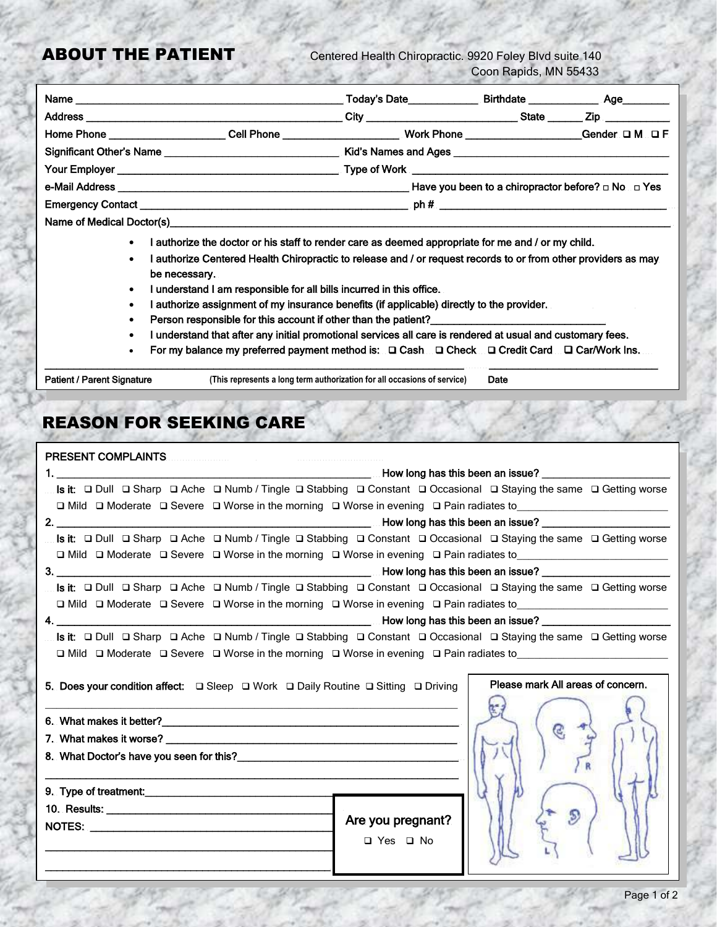ABOUT THE PATIENT Centered Health Chiropractic. 9920 Foley Blvd suite 140 Coon Rapids, MN 55433

|                                                                                                                      | Today's Date                                                                                                   |                                                              |  |
|----------------------------------------------------------------------------------------------------------------------|----------------------------------------------------------------------------------------------------------------|--------------------------------------------------------------|--|
|                                                                                                                      |                                                                                                                |                                                              |  |
|                                                                                                                      | Home Phone ______________________Cell Phone __________________________Work Phone _________________Gender OM OF |                                                              |  |
| Significant Other's Name ___________________________________ Kid's Names and Ages __________________________________ |                                                                                                                |                                                              |  |
|                                                                                                                      |                                                                                                                |                                                              |  |
|                                                                                                                      |                                                                                                                | Have you been to a chiropractor before? $\Box$ No $\Box$ Yes |  |
|                                                                                                                      |                                                                                                                |                                                              |  |
|                                                                                                                      |                                                                                                                |                                                              |  |

- I authorize the doctor or his staff to render care as deemed appropriate for me and / or my child.
- I authorize Centered Health Chiropractic to release and / or request records to or from other providers as may be necessary.
- I understand I am responsible for all bills incurred in this office.
- I authorize assignment of my insurance benefits (if applicable) directly to the provider.
- Person responsible for this account if other than the patient?
- I understand that after any initial promotional services all care is rendered at usual and customary fees.
- For my balance my preferred payment method is:  $\Box$  Cash  $\Box$  Check  $\Box$  Credit Card  $\Box$  Car/Work Ins.

\_\_\_\_\_\_\_\_\_\_\_\_\_\_\_\_\_\_\_\_\_\_\_\_\_\_\_\_\_\_\_\_\_\_\_\_\_\_\_\_\_\_\_\_\_\_\_\_\_\_\_\_\_\_\_\_\_\_\_\_\_\_\_\_\_\_\_\_\_\_\_\_ \_\_\_\_\_\_\_\_\_\_\_\_\_\_\_\_\_\_\_\_\_\_\_\_\_\_\_\_\_ Patient / Parent Signature **(This represents a long term authorization for all occasions of service)** Date

## REASON FOR SEEKING CARE

| <b>PRESENT COMPLAINTS</b>                                                                                              |                   |                                   |  |  |  |  |
|------------------------------------------------------------------------------------------------------------------------|-------------------|-----------------------------------|--|--|--|--|
|                                                                                                                        |                   |                                   |  |  |  |  |
| Is it:  □ Dull  □ Sharp  □ Ache  □ Numb / Tingle □ Stabbing □ Constant □ Occasional □ Staying the same □ Getting worse |                   |                                   |  |  |  |  |
|                                                                                                                        |                   |                                   |  |  |  |  |
|                                                                                                                        |                   |                                   |  |  |  |  |
| Is it:  □ Dull  □ Sharp  □ Ache  □ Numb / Tingle □ Stabbing □ Constant □ Occasional □ Staying the same □ Getting worse |                   |                                   |  |  |  |  |
| □ Mild □ Moderate □ Severe □ Worse in the morning □ Worse in evening □ Pain radiates to_______________________         |                   |                                   |  |  |  |  |
|                                                                                                                        |                   |                                   |  |  |  |  |
| Is it:  □ Dull □ Sharp □ Ache □ Numb / Tingle □ Stabbing □ Constant □ Occasional □ Staying the same □ Getting worse    |                   |                                   |  |  |  |  |
| □ Mild □ Moderate □ Severe □ Worse in the morning □ Worse in evening □ Pain radiates to______________________________  |                   |                                   |  |  |  |  |
|                                                                                                                        |                   |                                   |  |  |  |  |
| Is it:  □ Dull  □ Sharp  □ Ache  □ Numb / Tingle □ Stabbing □ Constant □ Occasional □ Staying the same □ Getting worse |                   |                                   |  |  |  |  |
| $\Box$ Mild $\Box$ Moderate $\Box$ Severe $\Box$ Worse in the morning $\Box$ Worse in evening $\Box$ Pain radiates to  |                   |                                   |  |  |  |  |
| 5. Does your condition affect: □ Sleep □ Work □ Daily Routine □ Sitting □ Driving                                      |                   | Please mark All areas of concern. |  |  |  |  |
|                                                                                                                        |                   |                                   |  |  |  |  |
|                                                                                                                        |                   |                                   |  |  |  |  |
|                                                                                                                        |                   |                                   |  |  |  |  |
|                                                                                                                        |                   |                                   |  |  |  |  |
|                                                                                                                        |                   |                                   |  |  |  |  |
|                                                                                                                        | Are you pregnant? |                                   |  |  |  |  |
|                                                                                                                        | □ Yes □ No        |                                   |  |  |  |  |
|                                                                                                                        |                   |                                   |  |  |  |  |
|                                                                                                                        |                   |                                   |  |  |  |  |

 $\overline{\phantom{a}}$